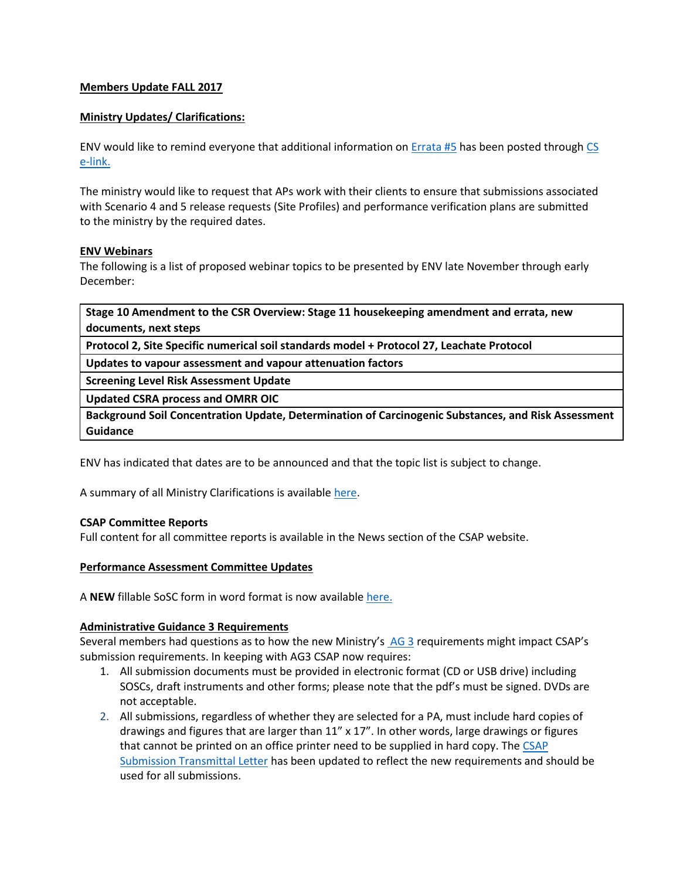## **Members Update FALL 2017**

#### **Ministry Updates/ Clarifications:**

ENV would like to remind everyone that additional information on [Errata #5](https://www2.gov.bc.ca/assets/gov/environment/air-land-water/site-remediation/docs/bulletins/errata2.pdf) has been posted through [CS](https://www2.gov.bc.ca/gov/content/environment/air-land-water/site-remediation/contaminated-sites/cs-e-link-recent-messages)  [e-link.](https://www2.gov.bc.ca/gov/content/environment/air-land-water/site-remediation/contaminated-sites/cs-e-link-recent-messages)

The ministry would like to request that APs work with their clients to ensure that submissions associated with Scenario 4 and 5 release requests (Site Profiles) and performance verification plans are submitted to the ministry by the required dates.

#### **ENV Webinars**

The following is a list of proposed webinar topics to be presented by ENV late November through early December:

**Stage 10 Amendment to the CSR Overview: Stage 11 housekeeping amendment and errata, new documents, next steps**

**Protocol 2, Site Specific numerical soil standards model + Protocol 27, Leachate Protocol**

**Updates to vapour assessment and vapour attenuation factors**

**Screening Level Risk Assessment Update**

**Updated CSRA process and OMRR OIC**

**Background Soil Concentration Update, Determination of Carcinogenic Substances, and Risk Assessment Guidance**

ENV has indicated that dates are to be announced and that the topic list is subject to change.

A summary of all Ministry Clarifications is available [here.](http://csapsociety.bc.ca/wp/wp-content/uploads/Ministry-Updates-Fall-2017-to-Summer-2012.pdf)

## **CSAP Committee Reports**

Full content for all committee reports is available in the News section of the CSAP website.

#### **Performance Assessment Committee Updates**

A **NEW** fillable SoSC form in word format is now available [here.](http://csapsociety.bc.ca/wp/wp-content/uploads/summarysitecondition-FILLABLE-FINAL.doc)

## **Administrative Guidance 3 Requirements**

Several members had questions as to how the new Ministry's [AG 3](http://www2.gov.bc.ca/assets/gov/environment/air-land-water/site-remediation/docs/administrative-guidance/ag03.pdf) requirements might impact CSAP's submission requirements. In keeping with AG3 CSAP now requires:

- 1. All submission documents must be provided in electronic format (CD or USB drive) including SOSCs, draft instruments and other forms; please note that the pdf's must be signed. DVDs are not acceptable.
- 2. All submissions, regardless of whether they are selected for a PA, must include hard copies of drawings and figures that are larger than 11" x 17". In other words, large drawings or figures that cannot be printed on an office printer need to be supplied in hard copy. Th[e CSAP](http://csapsociety.bc.ca/wp/wp-content/uploads/CSAP-Submission-transmittal-letter-v5-Sep-2017posted-doc.doc)  [Submission Transmittal Letter](http://csapsociety.bc.ca/wp/wp-content/uploads/CSAP-Submission-transmittal-letter-v5-Sep-2017posted-doc.doc) has been updated to reflect the new requirements and should be used for all submissions.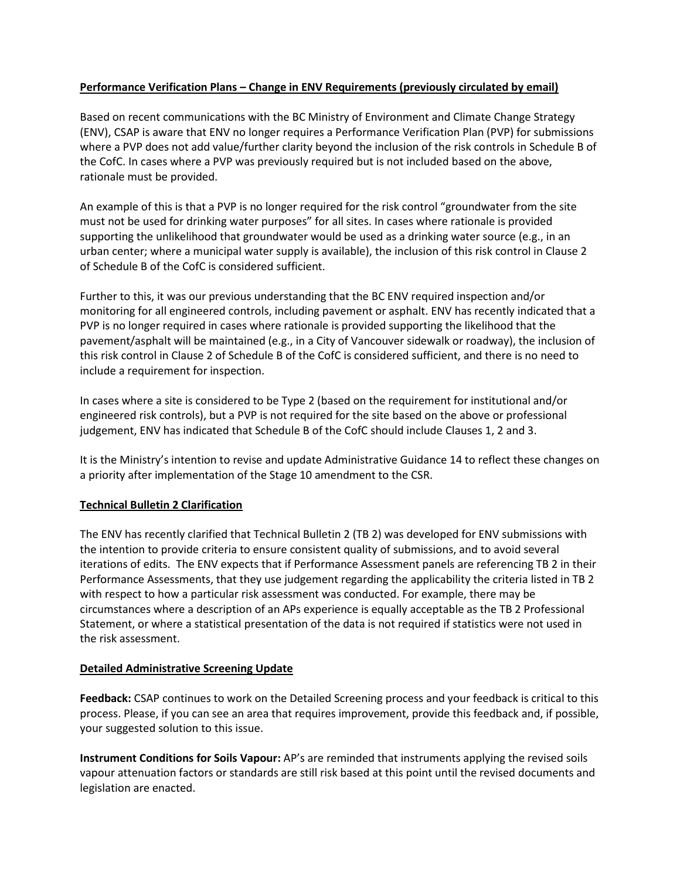# **Performance Verification Plans – Change in ENV Requirements (previously circulated by email)**

Based on recent communications with the BC Ministry of Environment and Climate Change Strategy (ENV), CSAP is aware that ENV no longer requires a Performance Verification Plan (PVP) for submissions where a PVP does not add value/further clarity beyond the inclusion of the risk controls in Schedule B of the CofC. In cases where a PVP was previously required but is not included based on the above, rationale must be provided.

An example of this is that a PVP is no longer required for the risk control "groundwater from the site must not be used for drinking water purposes" for all sites. In cases where rationale is provided supporting the unlikelihood that groundwater would be used as a drinking water source (e.g., in an urban center; where a municipal water supply is available), the inclusion of this risk control in Clause 2 of Schedule B of the CofC is considered sufficient.

Further to this, it was our previous understanding that the BC ENV required inspection and/or monitoring for all engineered controls, including pavement or asphalt. ENV has recently indicated that a PVP is no longer required in cases where rationale is provided supporting the likelihood that the pavement/asphalt will be maintained (e.g., in a City of Vancouver sidewalk or roadway), the inclusion of this risk control in Clause 2 of Schedule B of the CofC is considered sufficient, and there is no need to include a requirement for inspection.

In cases where a site is considered to be Type 2 (based on the requirement for institutional and/or engineered risk controls), but a PVP is not required for the site based on the above or professional judgement, ENV has indicated that Schedule B of the CofC should include Clauses 1, 2 and 3.

It is the Ministry's intention to revise and update Administrative Guidance 14 to reflect these changes on a priority after implementation of the Stage 10 amendment to the CSR.

# **Technical Bulletin 2 Clarification**

The ENV has recently clarified that Technical Bulletin 2 (TB 2) was developed for ENV submissions with the intention to provide criteria to ensure consistent quality of submissions, and to avoid several iterations of edits. The ENV expects that if Performance Assessment panels are referencing TB 2 in their Performance Assessments, that they use judgement regarding the applicability the criteria listed in TB 2 with respect to how a particular risk assessment was conducted. For example, there may be circumstances where a description of an APs experience is equally acceptable as the TB 2 Professional Statement, or where a statistical presentation of the data is not required if statistics were not used in the risk assessment.

## **Detailed Administrative Screening Update**

**Feedback:** CSAP continues to work on the Detailed Screening process and your feedback is critical to this process. Please, if you can see an area that requires improvement, provide this feedback and, if possible, your suggested solution to this issue.

**Instrument Conditions for Soils Vapour:** AP's are reminded that instruments applying the revised soils vapour attenuation factors or standards are still risk based at this point until the revised documents and legislation are enacted.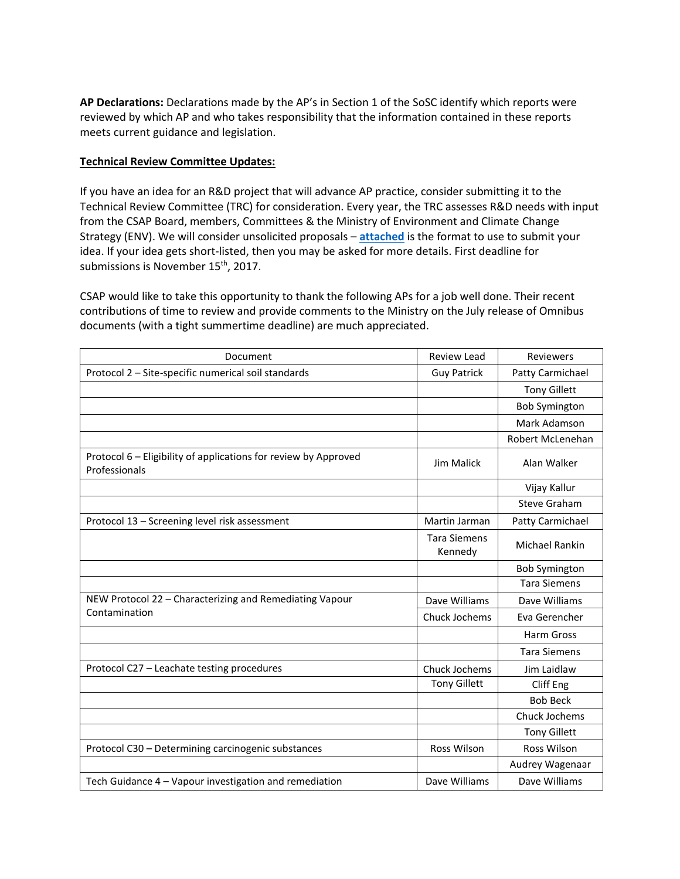**AP Declarations:** Declarations made by the AP's in Section 1 of the SoSC identify which reports were reviewed by which AP and who takes responsibility that the information contained in these reports meets current guidance and legislation.

# **Technical Review Committee Updates:**

If you have an idea for an R&D project that will advance AP practice, consider submitting it to the Technical Review Committee (TRC) for consideration. Every year, the TRC assesses R&D needs with input from the CSAP Board, members, Committees & the Ministry of Environment and Climate Change Strategy (ENV). We will consider unsolicited proposals – **[attached](http://csapsociety.bc.ca/wp/wp-content/uploads/OUTLINE-RD-prop-to-TRC-template-2018-19.doc)** is the format to use to submit your idea. If your idea gets short-listed, then you may be asked for more details. First deadline for submissions is November 15<sup>th</sup>, 2017.

CSAP would like to take this opportunity to thank the following APs for a job well done. Their recent contributions of time to review and provide comments to the Ministry on the July release of Omnibus documents (with a tight summertime deadline) are much appreciated.

| Document                                                                         | <b>Review Lead</b>             | <b>Reviewers</b>     |
|----------------------------------------------------------------------------------|--------------------------------|----------------------|
| Protocol 2 - Site-specific numerical soil standards                              | <b>Guy Patrick</b>             | Patty Carmichael     |
|                                                                                  |                                | <b>Tony Gillett</b>  |
|                                                                                  |                                | <b>Bob Symington</b> |
|                                                                                  |                                | Mark Adamson         |
|                                                                                  |                                | Robert McLenehan     |
| Protocol 6 - Eligibility of applications for review by Approved<br>Professionals | <b>Jim Malick</b>              | Alan Walker          |
|                                                                                  |                                | Vijay Kallur         |
|                                                                                  |                                | Steve Graham         |
| Protocol 13 - Screening level risk assessment                                    | Martin Jarman                  | Patty Carmichael     |
|                                                                                  | <b>Tara Siemens</b><br>Kennedy | Michael Rankin       |
|                                                                                  |                                | <b>Bob Symington</b> |
|                                                                                  |                                | <b>Tara Siemens</b>  |
| NEW Protocol 22 - Characterizing and Remediating Vapour                          | Dave Williams                  | Dave Williams        |
| Contamination                                                                    | Chuck Jochems                  | Eva Gerencher        |
|                                                                                  |                                | <b>Harm Gross</b>    |
|                                                                                  |                                | <b>Tara Siemens</b>  |
| Protocol C27 - Leachate testing procedures                                       | Chuck Jochems                  | Jim Laidlaw          |
|                                                                                  | <b>Tony Gillett</b>            | Cliff Eng            |
|                                                                                  |                                | <b>Bob Beck</b>      |
|                                                                                  |                                | Chuck Jochems        |
|                                                                                  |                                | <b>Tony Gillett</b>  |
| Protocol C30 - Determining carcinogenic substances                               | Ross Wilson                    | Ross Wilson          |
|                                                                                  |                                | Audrey Wagenaar      |
| Tech Guidance 4 - Vapour investigation and remediation                           | Dave Williams                  | Dave Williams        |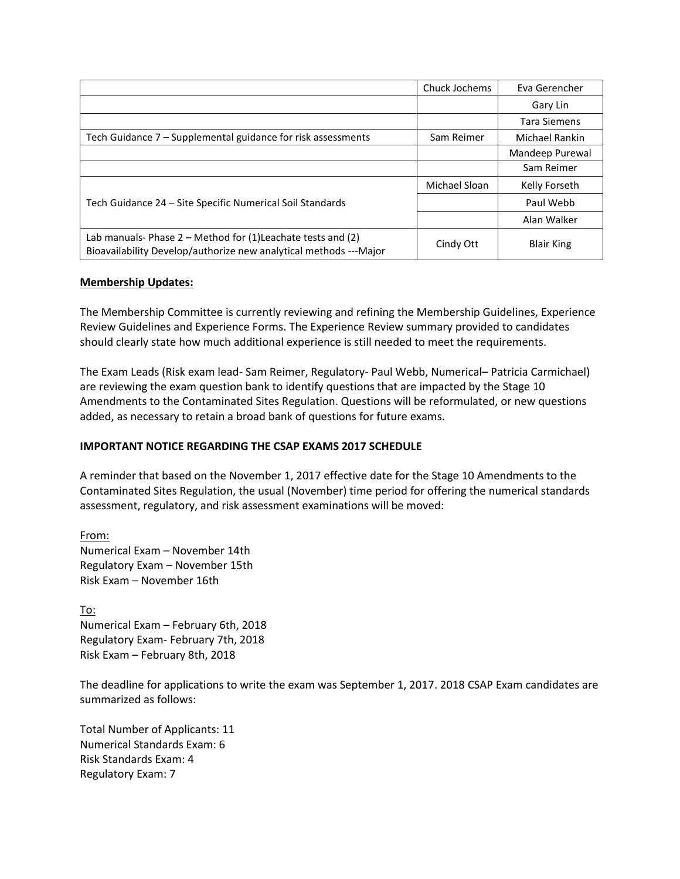|                                                                                                                                     | Chuck Jochems | Eva Gerencher     |
|-------------------------------------------------------------------------------------------------------------------------------------|---------------|-------------------|
|                                                                                                                                     |               | Gary Lin          |
|                                                                                                                                     |               | Tara Siemens      |
| Tech Guidance 7 – Supplemental guidance for risk assessments                                                                        | Sam Reimer    | Michael Rankin    |
|                                                                                                                                     |               | Mandeep Purewal   |
|                                                                                                                                     |               | Sam Reimer        |
| Tech Guidance 24 – Site Specific Numerical Soil Standards                                                                           | Michael Sloan | Kelly Forseth     |
|                                                                                                                                     |               | Paul Webb         |
|                                                                                                                                     |               | Alan Walker       |
| Lab manuals-Phase $2$ – Method for (1) Leachate tests and (2)<br>Bioavailability Develop/authorize new analytical methods --- Major | Cindy Ott     | <b>Blair King</b> |

## **Membership Updates:**

The Membership Committee is currently reviewing and refining the Membership Guidelines, Experience Review Guidelines and Experience Forms. The Experience Review summary provided to candidates should clearly state how much additional experience is still needed to meet the requirements.

The Exam Leads (Risk exam lead- Sam Reimer, Regulatory- Paul Webb, Numerical– Patricia Carmichael) are reviewing the exam question bank to identify questions that are impacted by the Stage 10 Amendments to the Contaminated Sites Regulation. Questions will be reformulated, or new questions added, as necessary to retain a broad bank of questions for future exams.

# **IMPORTANT NOTICE REGARDING THE CSAP EXAMS 2017 SCHEDULE**

A reminder that based on the November 1, 2017 effective date for the Stage 10 Amendments to the Contaminated Sites Regulation, the usual (November) time period for offering the numerical standards assessment, regulatory, and risk assessment examinations will be moved:

From: Numerical Exam – November 14th Regulatory Exam – November 15th Risk Exam – November 16th

To: Numerical Exam – February 6th, 2018 Regulatory Exam- February 7th, 2018 Risk Exam – February 8th, 2018

The deadline for applications to write the exam was September 1, 2017. 2018 CSAP Exam candidates are summarized as follows:

Total Number of Applicants: 11 Numerical Standards Exam: 6 Risk Standards Exam: 4 Regulatory Exam: 7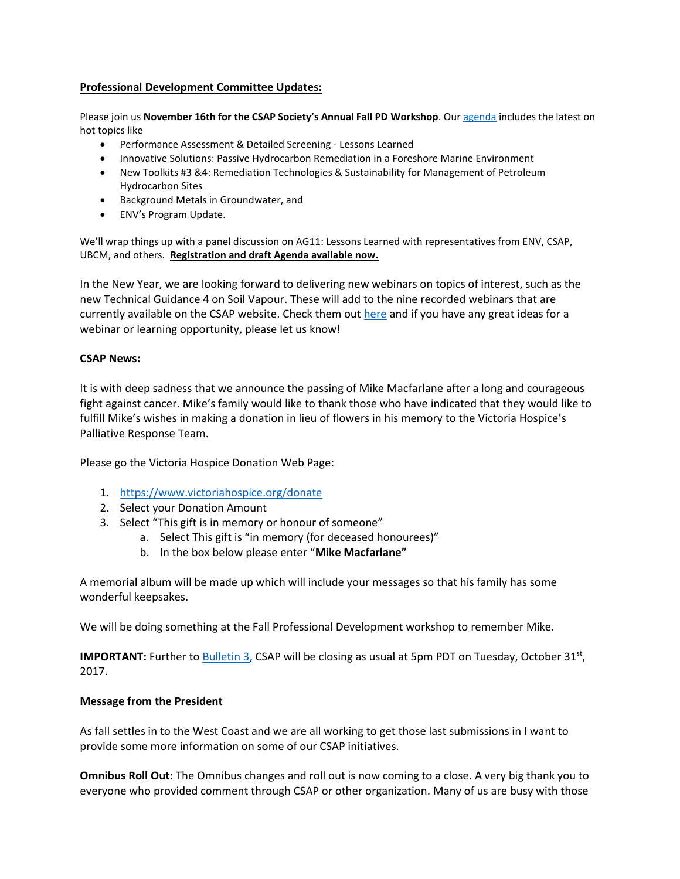## **Professional Development Committee Updates:**

Please join us **November 16th for the CSAP Society's Annual Fall PD Workshop**. Ou[r agenda](http://csapsociety.bc.ca/wp/wp-content/uploads/DRAFT-CSAP-Fall-PD-Workshop-16Nov2017-Agenda-v5.pdf) includes the latest on hot topics like

- Performance Assessment & Detailed Screening Lessons Learned
- **Innovative Solutions: Passive Hydrocarbon Remediation in a Foreshore Marine Environment**
- New Toolkits #3 &4: Remediation Technologies & Sustainability for Management of Petroleum Hydrocarbon Sites
- Background Metals in Groundwater, and
- ENV's Program Update.

We'll wrap things up with a panel discussion on AG11: Lessons Learned with representatives from ENV, CSAP, UBCM, and others. **[Registration and draft Agenda available now.](https://csapsociety.bc.ca/events/)**

In the New Year, we are looking forward to delivering new webinars on topics of interest, such as the new Technical Guidance 4 on Soil Vapour. These will add to the nine recorded webinars that are currently available on the CSAP website. Check them out [here](https://csapsociety.bc.ca/members/pd-webinars/) and if you have any great ideas for a webinar or learning opportunity, please let us know!

#### **CSAP News:**

It is with deep sadness that we announce the passing of Mike Macfarlane after a long and courageous fight against cancer. Mike's family would like to thank those who have indicated that they would like to fulfill Mike's wishes in making a donation in lieu of flowers in his memory to the Victoria Hospice's Palliative Response Team.

Please go the Victoria Hospice Donation Web Page:

- 1. <https://www.victoriahospice.org/donate>
- 2. Select your Donation Amount
- 3. Select "This gift is in memory or honour of someone"
	- a. Select This gift is "in memory (for deceased honourees)"
	- b. In the box below please enter "**Mike Macfarlane"**

A memorial album will be made up which will include your messages so that his family has some wonderful keepsakes.

We will be doing something at the Fall Professional Development workshop to remember Mike.

**IMPORTANT:** Further to [Bulletin 3,](https://www2.gov.bc.ca/assets/gov/environment/air-land-water/site-remediation/docs/bulletins/admin_bulletin_submission_guidance_stage_10_amendment.pdf) CSAP will be closing as usual at 5pm PDT on Tuesday, October 31<sup>st</sup>, 2017.

#### **Message from the President**

As fall settles in to the West Coast and we are all working to get those last submissions in I want to provide some more information on some of our CSAP initiatives.

**Omnibus Roll Out:** The Omnibus changes and roll out is now coming to a close. A very big thank you to everyone who provided comment through CSAP or other organization. Many of us are busy with those